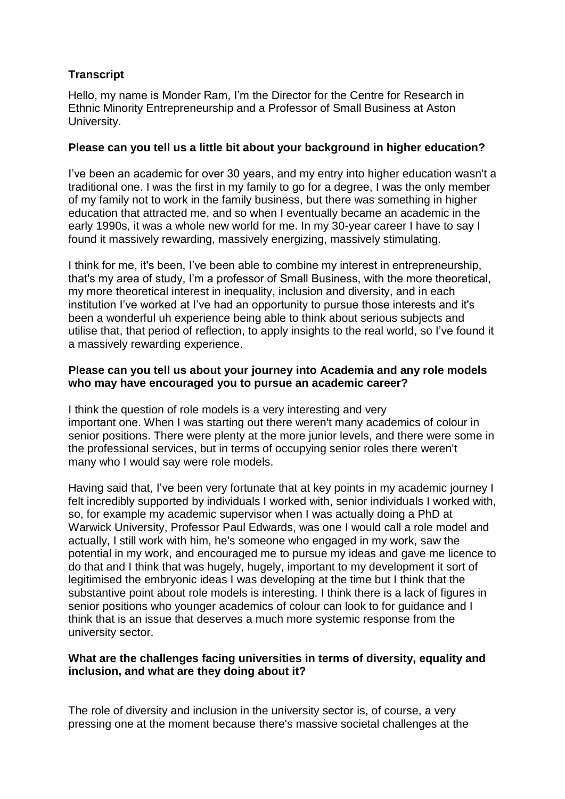# **Transcript**

Hello, my name is Monder Ram, I'm the Director for the Centre for Research in Ethnic Minority Entrepreneurship and a Professor of Small Business at Aston University.

## **Please can you tell us a little bit about your background in higher education?**

I've been an academic for over 30 years, and my entry into higher education wasn't a traditional one. I was the first in my family to go for a degree, I was the only member of my family not to work in the family business, but there was something in higher education that attracted me, and so when I eventually became an academic in the early 1990s, it was a whole new world for me. In my 30-year career I have to say I found it massively rewarding, massively energizing, massively stimulating.

I think for me, it's been, I've been able to combine my interest in entrepreneurship, that's my area of study, I'm a professor of Small Business, with the more theoretical, my more theoretical interest in inequality, inclusion and diversity, and in each institution I've worked at I've had an opportunity to pursue those interests and it's been a wonderful uh experience being able to think about serious subjects and utilise that, that period of reflection, to apply insights to the real world, so I've found it a massively rewarding experience.

## **Please can you tell us about your journey into Academia and any role models who may have encouraged you to pursue an academic career?**

I think the question of role models is a very interesting and very important one. When I was starting out there weren't many academics of colour in senior positions. There were plenty at the more junior levels, and there were some in the professional services, but in terms of occupying senior roles there weren't many who I would say were role models.

Having said that, I've been very fortunate that at key points in my academic journey I felt incredibly supported by individuals I worked with, senior individuals I worked with, so, for example my academic supervisor when I was actually doing a PhD at Warwick University, Professor Paul Edwards, was one I would call a role model and actually, I still work with him, he's someone who engaged in my work, saw the potential in my work, and encouraged me to pursue my ideas and gave me licence to do that and I think that was hugely, hugely, important to my development it sort of legitimised the embryonic ideas I was developing at the time but I think that the substantive point about role models is interesting. I think there is a lack of figures in senior positions who younger academics of colour can look to for guidance and I think that is an issue that deserves a much more systemic response from the university sector.

### **What are the challenges facing universities in terms of diversity, equality and inclusion, and what are they doing about it?**

The role of diversity and inclusion in the university sector is, of course, a very pressing one at the moment because there's massive societal challenges at the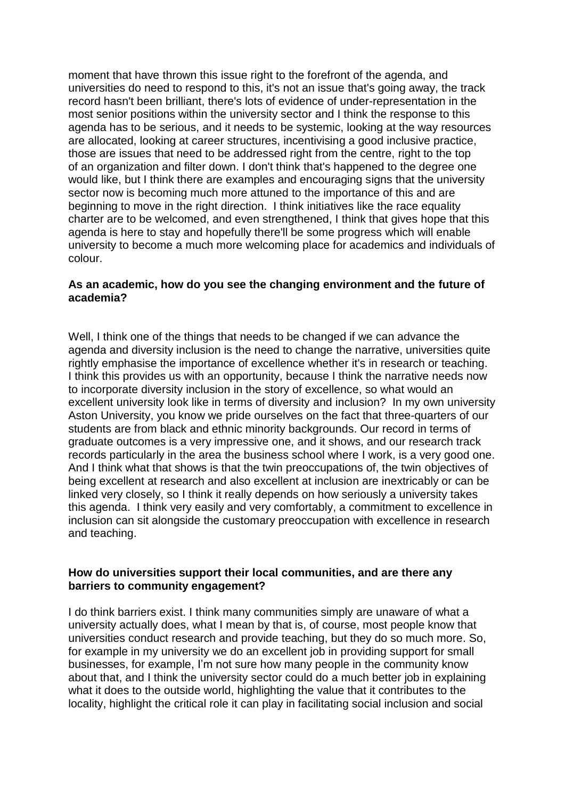moment that have thrown this issue right to the forefront of the agenda, and universities do need to respond to this, it's not an issue that's going away, the track record hasn't been brilliant, there's lots of evidence of under-representation in the most senior positions within the university sector and I think the response to this agenda has to be serious, and it needs to be systemic, looking at the way resources are allocated, looking at career structures, incentivising a good inclusive practice, those are issues that need to be addressed right from the centre, right to the top of an organization and filter down. I don't think that's happened to the degree one would like, but I think there are examples and encouraging signs that the university sector now is becoming much more attuned to the importance of this and are beginning to move in the right direction. I think initiatives like the race equality charter are to be welcomed, and even strengthened, I think that gives hope that this agenda is here to stay and hopefully there'll be some progress which will enable university to become a much more welcoming place for academics and individuals of colour.

#### **As an academic, how do you see the changing environment and the future of academia?**

Well, I think one of the things that needs to be changed if we can advance the agenda and diversity inclusion is the need to change the narrative, universities quite rightly emphasise the importance of excellence whether it's in research or teaching. I think this provides us with an opportunity, because I think the narrative needs now to incorporate diversity inclusion in the story of excellence, so what would an excellent university look like in terms of diversity and inclusion? In my own university Aston University, you know we pride ourselves on the fact that three-quarters of our students are from black and ethnic minority backgrounds. Our record in terms of graduate outcomes is a very impressive one, and it shows, and our research track records particularly in the area the business school where I work, is a very good one. And I think what that shows is that the twin preoccupations of, the twin objectives of being excellent at research and also excellent at inclusion are inextricably or can be linked very closely, so I think it really depends on how seriously a university takes this agenda. I think very easily and very comfortably, a commitment to excellence in inclusion can sit alongside the customary preoccupation with excellence in research and teaching.

### **How do universities support their local communities, and are there any barriers to community engagement?**

I do think barriers exist. I think many communities simply are unaware of what a university actually does, what I mean by that is, of course, most people know that universities conduct research and provide teaching, but they do so much more. So, for example in my university we do an excellent job in providing support for small businesses, for example, I'm not sure how many people in the community know about that, and I think the university sector could do a much better job in explaining what it does to the outside world, highlighting the value that it contributes to the locality, highlight the critical role it can play in facilitating social inclusion and social